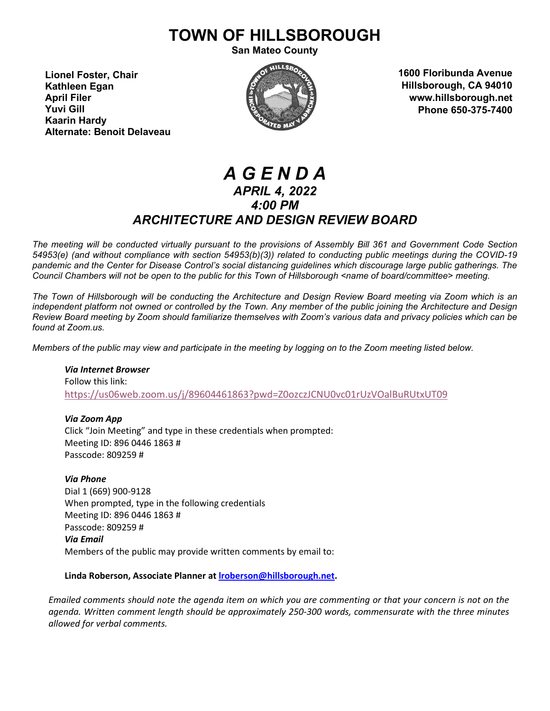# **TOWN OF HILLSBOROUGH**

**San Mateo County**

**Lionel Foster, Chair Kathleen Egan April Filer Yuvi Gill Kaarin Hardy Alternate: Benoit Delaveau**



**1600 Floribunda Avenue Hillsborough, CA 94010 www.hillsborough.net Phone 650-375-7400**

## *A G E N D A APRIL 4, 2022 4:00 PM ARCHITECTURE AND DESIGN REVIEW BOARD*

*The meeting will be conducted virtually pursuant to the provisions of Assembly Bill 361 and Government Code Section 54953(e) (and without compliance with section 54953(b)(3)) related to conducting public meetings during the COVID-19 pandemic and the Center for Disease Control's social distancing guidelines which discourage large public gatherings. The Council Chambers will not be open to the public for this Town of Hillsborough <name of board/committee> meeting.*

*The Town of Hillsborough will be conducting the Architecture and Design Review Board meeting via Zoom which is an independent platform not owned or controlled by the Town. Any member of the public joining the Architecture and Design Review Board meeting by Zoom should familiarize themselves with Zoom's various data and privacy policies which can be found at Zoom.us.*

*Members of the public may view and participate in the meeting by logging on to the Zoom meeting listed below.* 

*Via Internet Browser* Follow this link: <https://us06web.zoom.us/j/89604461863?pwd=Z0ozczJCNU0vc01rUzVOalBuRUtxUT09>

*Via Zoom App* Click "Join Meeting" and type in these credentials when prompted: Meeting ID: 896 0446 1863 # Passcode: 809259 #

*Via Phone* Dial 1 (669) 900-9128 When prompted, type in the following credentials Meeting ID: 896 0446 1863 # Passcode: 809259 # *Via Email* Members of the public may provide written comments by email to:

**Linda Roberson, Associate Planner a[t lroberson@hillsborough.net.](mailto:lroberson@hillsborough.net)** 

*Emailed comments should note the agenda item on which you are commenting or that your concern is not on the agenda. Written comment length should be approximately 250-300 words, commensurate with the three minutes allowed for verbal comments.*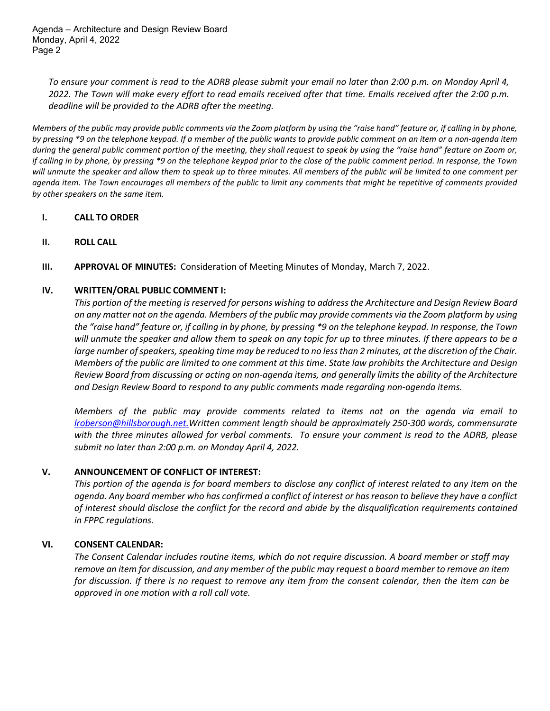Agenda – Architecture and Design Review Board Monday, April 4, 2022 Page 2

*To ensure your comment is read to the ADRB please submit your email no later than 2:00 p.m. on Monday April 4, 2022. The Town will make every effort to read emails received after that time. Emails received after the 2:00 p.m. deadline will be provided to the ADRB after the meeting.*

*Members of the public may provide public comments via the Zoom platform by using the "raise hand" feature or, if calling in by phone, by pressing \*9 on the telephone keypad. If a member of the public wants to provide public comment on an item or a non-agenda item during the general public comment portion of the meeting, they shall request to speak by using the "raise hand" feature on Zoom or, if calling in by phone, by pressing \*9 on the telephone keypad prior to the close of the public comment period. In response, the Town will unmute the speaker and allow them to speak up to three minutes. All members of the public will be limited to one comment per agenda item. The Town encourages all members of the public to limit any comments that might be repetitive of comments provided by other speakers on the same item.* 

## **I. CALL TO ORDER**

- **II. ROLL CALL**
- **III. APPROVAL OF MINUTES:** Consideration of Meeting Minutes of Monday, March 7, 2022.

#### **IV. WRITTEN/ORAL PUBLIC COMMENT I:**

*This portion of the meeting is reserved for persons wishing to address the Architecture and Design Review Board on any matter not on the agenda. Members of the public may provide comments via the Zoom platform by using the "raise hand" feature or, if calling in by phone, by pressing \*9 on the telephone keypad. In response, the Town will unmute the speaker and allow them to speak on any topic for up to three minutes. If there appears to be a large number of speakers, speaking time may be reduced to no less than 2 minutes, at the discretion of the Chair. Members of the public are limited to one comment at this time. State law prohibits the Architecture and Design Review Board from discussing or acting on non-agenda items, and generally limits the ability of the Architecture and Design Review Board to respond to any public comments made regarding non-agenda items.*

*Members of the public may provide comments related to items not on the agenda via email to [lroberson@hillsborough.net.W](mailto:lroberson@hillsborough.net.)ritten comment length should be approximately 250-300 words, commensurate with the three minutes allowed for verbal comments. To ensure your comment is read to the ADRB, please submit no later than 2:00 p.m. on Monday April 4, 2022.*

#### **V. ANNOUNCEMENT OF CONFLICT OF INTEREST:**

*This portion of the agenda is for board members to disclose any conflict of interest related to any item on the agenda. Any board member who has confirmed a conflict of interest or has reason to believe they have a conflict of interest should disclose the conflict for the record and abide by the disqualification requirements contained in FPPC regulations.*

## **VI. CONSENT CALENDAR:**

*The Consent Calendar includes routine items, which do not require discussion. A board member or staff may remove an item for discussion, and any member of the public may request a board member to remove an item for discussion. If there is no request to remove any item from the consent calendar, then the item can be approved in one motion with a roll call vote.*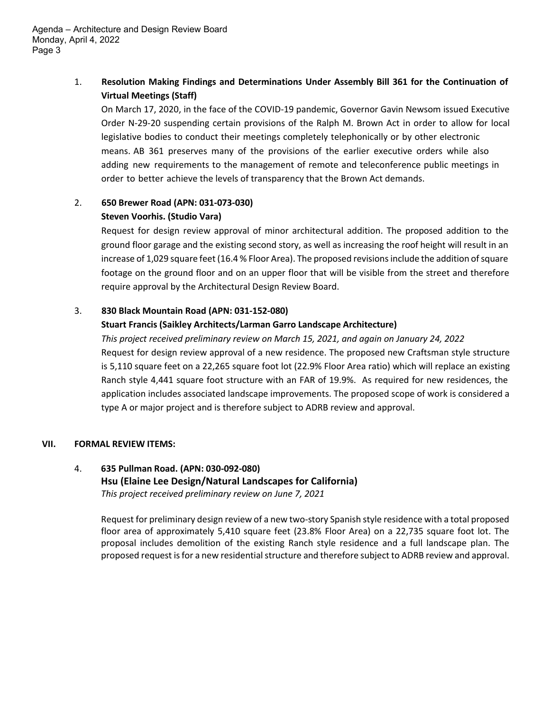Agenda – Architecture and Design Review Board Monday, April 4, 2022 Page 3

## 1. **Resolution Making Findings and Determinations Under Assembly Bill 361 for the Continuation of Virtual Meetings (Staff)**

On March 17, 2020, in the face of the COVID-19 pandemic, Governor Gavin Newsom issued Executive Order N-29-20 suspending certain provisions of the Ralph M. Brown Act in order to allow for local legislative bodies to conduct their meetings completely telephonically or by other electronic means. AB 361 preserves many of the provisions of the earlier executive orders while also adding new requirements to the management of remote and teleconference public meetings in order to better achieve the levels of transparency that the Brown Act demands.

## 2. **650 Brewer Road (APN: 031-073-030)**

## **Steven Voorhis. (Studio Vara)**

Request for design review approval of minor architectural addition. The proposed addition to the ground floor garage and the existing second story, as well as increasing the roof height will result in an increase of 1,029 square feet (16.4 % Floor Area). The proposed revisions include the addition of square footage on the ground floor and on an upper floor that will be visible from the street and therefore require approval by the Architectural Design Review Board.

## 3. **830 Black Mountain Road (APN: 031-152-080)**

## **Stuart Francis (Saikley Architects/Larman Garro Landscape Architecture)**

*This project received preliminary review on March 15, 2021, and again on January 24, 2022* Request for design review approval of a new residence. The proposed new Craftsman style structure is 5,110 square feet on a 22,265 square foot lot (22.9% Floor Area ratio) which will replace an existing Ranch style 4,441 square foot structure with an FAR of 19.9%. As required for new residences, the application includes associated landscape improvements. The proposed scope of work is considered a type A or major project and is therefore subject to ADRB review and approval.

## **VII. FORMAL REVIEW ITEMS:**

## 4. **635 Pullman Road. (APN: 030-092-080) Hsu (Elaine Lee Design/Natural Landscapes for California)** *This project received preliminary review on June 7, 2021*

Request for preliminary design review of a new two-story Spanish style residence with a total proposed floor area of approximately 5,410 square feet (23.8% Floor Area) on a 22,735 square foot lot. The proposal includes demolition of the existing Ranch style residence and a full landscape plan. The proposed request is for a new residential structure and therefore subject to ADRB review and approval.